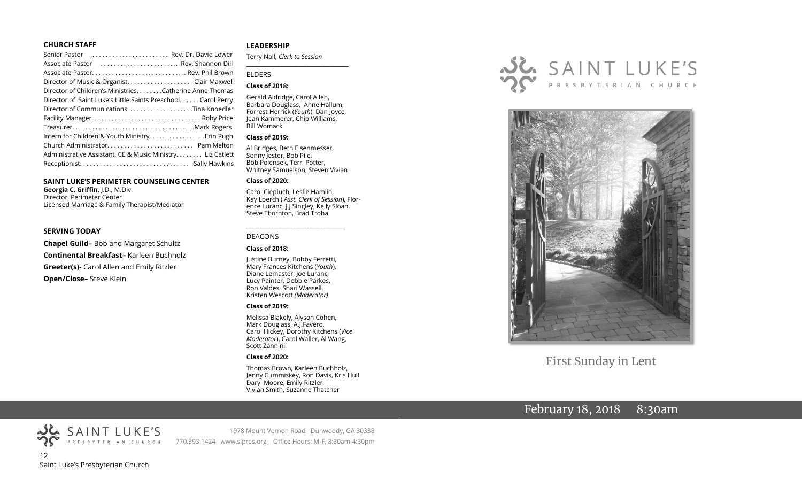#### **CHURCH STAFF**

| Senior Pastor  Rev. Dr. David Lower                           |
|---------------------------------------------------------------|
| Associate Pastor  Rev. Shannon Dill                           |
| Associate Pastor Rev. Phil Brown                              |
| Director of Music & Organist. Clair Maxwell                   |
| Director of Children's Ministries. Catherine Anne Thomas      |
| Director of Saint Luke's Little Saints Preschool. Carol Perry |
| Director of CommunicationsTina Knoedler                       |
|                                                               |
|                                                               |
|                                                               |
|                                                               |
| Administrative Assistant, CE & Music Ministry Liz Catlett     |
|                                                               |

#### **SAINT LUKE'S PERIMETER COUNSELING CENTER**

**Georgia C. Griffin,** J.D., M.Div. Director, Perimeter Center Licensed Marriage & Family Therapist/Mediator

#### **SERVING TODAY**

**Chapel Guild–** Bob and Margaret Schultz **Continental Breakfast–** Karleen Buchholz **Greeter(s)-** Carol Allen and Emily Ritzler **Open/Close–** Steve Klein

#### **LEADERSHIP**

Terry Nall, *Clerk to Session* 

#### ELDERS

#### **Class of 2018:**

Gerald Aldridge, Carol Allen, Barbara Douglass, Anne Hallum, Forrest Herrick (*Youth*), Dan Joyce, Jean Kammerer, Chip Williams, Bill Womack

**\_\_\_\_\_\_\_\_\_\_\_\_\_\_\_\_\_\_\_\_\_\_\_\_\_\_\_\_\_\_\_\_\_\_\_\_\_\_\_**

#### **Class of 2019:**

Al Bridges, Beth Eisenmesser, Sonny Jester, Bob Pile, Bob Polensek, Terri Potter, Whitney Samuelson, Steven Vivian

#### **Class of 2020:**

Carol Ciepluch, Leslie Hamlin, Kay Loerch ( *Asst. Clerk of Session*), Florence Luranc, J J Singley, Kelly Sloan, Steve Thornton, Brad Troha

#### DEACONS

#### **Class of 2018:**

Justine Burney, Bobby Ferretti, Mary Frances Kitchens (*Youth*), Diane Lemaster, Joe Luranc, Lucy Painter, Debbie Parkes, Ron Valdes, Shari Wassell, Kristen Wescott *(Moderator)*

*\_\_\_\_\_\_\_\_\_\_\_\_\_\_\_\_\_\_\_\_\_\_\_\_\_\_\_\_\_\_\_\_\_\_\_\_*

#### **Class of 2019:**

Melissa Blakely, Alyson Cohen, Mark Douglass, A.J.Favero, Carol Hickey, Dorothy Kitchens (*Vice Moderator*), Carol Waller, Al Wang, Scott Zannini

#### **Class of 2020:**

Thomas Brown, Karleen Buchholz, Jenny Cummiskey, Ron Davis, Kris Hull Daryl Moore, Emily Ritzler, Vivian Smith, Suzanne Thatcher





First Sunday in Lent

# February 18, 2018 8:30am



1978 Mount Vernon Road Dunwoody, GA 30338 770.393.1424 www.slpres.org Office Hours: M-F, 8:30am-4:30pm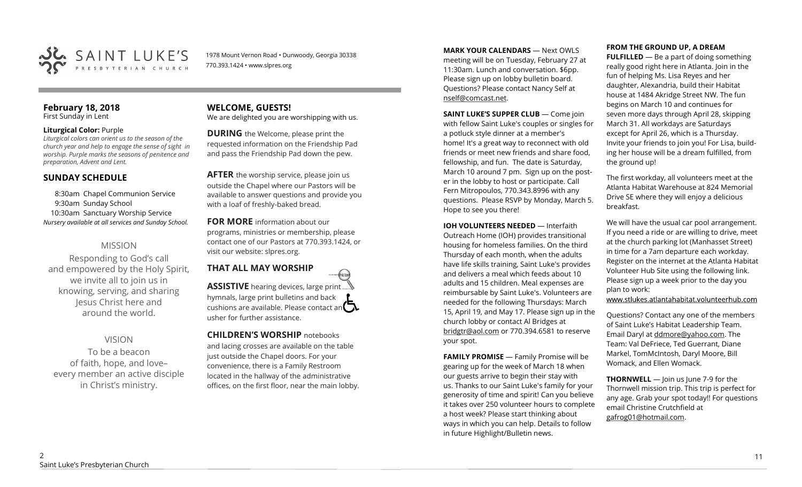

1978 Mount Vernon Road • Dunwoody, Georgia 30338 770.393.1424 • www.slpres.org

#### **February 18, 2018**  First Sunday in Lent

#### **Liturgical Color:** Purple

*Liturgical colors can orient us to the season of the church year and help to engage the sense of sight in worship. Purple marks the seasons of penitence and preparation, Advent and Lent.*

# **SUNDAY SCHEDULE**

8:30am Chapel Communion Service 9:30am Sunday School 10:30am Sanctuary Worship Service *Nursery available at all services and Sunday School.* 

# MISSION

Responding to God's call and empowered by the Holy Spirit, we invite all to join us in knowing, serving, and sharing Jesus Christ here and around the world.

# VISION

To be a beacon of faith, hope, and love– every member an active disciple in Christ's ministry.

#### **WELCOME, GUESTS!**  We are delighted you are worshipping with us.

**DURING** the Welcome, please print the requested information on the Friendship Pad and pass the Friendship Pad down the pew.

**AFTER** the worship service, please join us outside the Chapel where our Pastors will be available to answer questions and provide you with a loaf of freshly-baked bread.

**FOR MORE** information about our programs, ministries or membership, please contact one of our Pastors at 770.393.1424, or visit our website: slpres.org.

#### **THAT ALL MAY WORSHIP** thisted **ASSISTIVE** hearing devices, large print... hymnals, large print bulletins and back cushions are available. Please contact an  $\Box$ usher for further assistance.

**CHILDREN'S WORSHIP** notebooks and lacing crosses are available on the table just outside the Chapel doors. For your convenience, there is a Family Restroom located in the hallway of the administrative offices, on the first floor, near the main lobby.

**MARK YOUR CALENDARS** — Next OWLS meeting will be on Tuesday, February 27 at 11:30am. Lunch and conversation. \$6pp. Please sign up on lobby bulletin board. Questions? Please contact Nancy Self at nself@comcast.net.

**SAINT LUKE'S SUPPER CLUB** — Come join with fellow Saint Luke's couples or singles for a potluck style dinner at a member's home! It's a great way to reconnect with old friends or meet new friends and share food, fellowship, and fun. The date is Saturday, March 10 around 7 pm. Sign up on the poster in the lobby to host or participate. Call Fern Mitropoulos, 770.343.8996 with any questions. Please RSVP by Monday, March 5. Hope to see you there!

**IOH VOLUNTEERS NEEDED** — Interfaith Outreach Home (IOH) provides transitional housing for homeless families. On the third Thursday of each month, when the adults have life skills training, Saint Luke's provides and delivers a meal which feeds about 10 adults and 15 children. Meal expenses are reimbursable by Saint Luke's. Volunteers are needed for the following Thursdays: March 15, April 19, and May 17. Please sign up in the church lobby or contact Al Bridges at [bridgtr@aol.com](mailto:bridgtr@aol.com) or 770.394.6581 to reserve your spot.

**FAMILY PROMISE** - Family Promise will be gearing up for the week of March 18 when our guests arrive to begin their stay with us. Thanks to our Saint Luke's family for your generosity of time and spirit! Can you believe it takes over 250 volunteer hours to complete a host week? Please start thinking about ways in which you can help. Details to follow in future Highlight/Bulletin news.

## **FROM THE GROUND UP, A DREAM**

**FULFILLED** — Be a part of doing something really good right here in Atlanta. Join in the fun of helping Ms. Lisa Reyes and her daughter, Alexandria, build their Habitat house at 1484 Akridge Street NW. The fun begins on March 10 and continues for seven more days through April 28, skipping March 31. All workdays are Saturdays except for April 26, which is a Thursday. Invite your friends to join you! For Lisa, building her house will be a dream fulfilled, from the ground up!

The first workday, all volunteers meet at the Atlanta Habitat Warehouse at 824 Memorial Drive SE where they will enjoy a delicious breakfast.

We will have the usual car pool arrangement. If you need a ride or are willing to drive, meet at the church parking lot (Manhasset Street) in time for a 7am departure each workday. Register on the internet at the Atlanta Habitat Volunteer Hub Site using the following link. Please sign up a week prior to the day you plan to work:

www.stlukes.atlantahabitat.volunteerhub.com

Questions? Contact any one of the members of Saint Luke's Habitat Leadership Team. Email Daryl at ddmore@yahoo.com. The Team: Val DeFriece, Ted Guerrant, Diane Markel, TomMcIntosh, Daryl Moore, Bill Womack, and Ellen Womack.

**THORNWELL** — Join us June 7-9 for the Thornwell mission trip. This trip is perfect for any age. Grab your spot today!! For questions email Christine Crutchfield at [gafrog01@hotmail.com.](mailto:gafrog01@hotmail.com)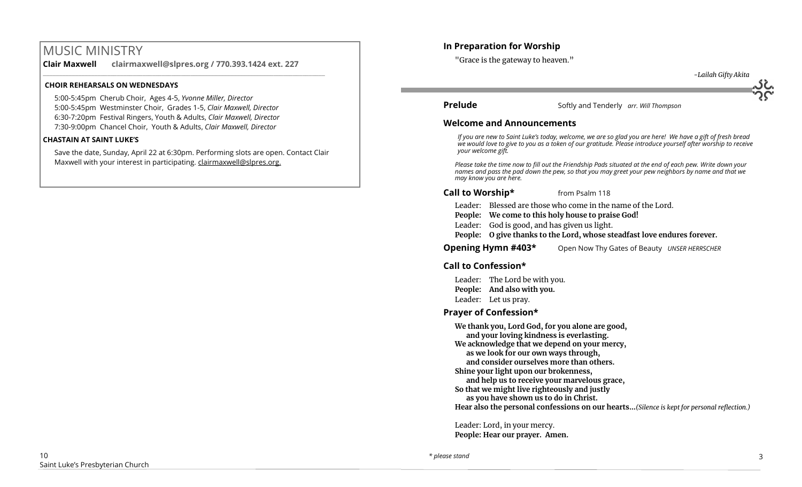# MUSIC MINISTRY

**Clair Maxwell clairmaxwell@slpres.org / 770.393.1424 ext. 227**  \_\_\_\_\_\_\_\_\_\_\_\_\_\_\_\_\_\_\_\_\_\_\_\_\_\_\_\_\_\_\_\_\_\_\_\_\_\_\_\_\_\_\_\_\_\_\_\_\_\_\_\_\_\_\_\_\_\_\_\_\_\_\_\_\_\_\_\_\_\_\_\_\_\_\_\_\_\_\_\_\_\_\_\_\_\_\_\_

#### **CHOIR REHEARSALS ON WEDNESDAYS**

5:00-5:45pm Cherub Choir, Ages 4-5, *Yvonne Miller, Director*  5:00-5:45pm Westminster Choir, Grades 1-5, *Clair Maxwell, Director*  6:30-7:20pm Festival Ringers, Youth & Adults, *Clair Maxwell, Director*  7:30-9:00pm Chancel Choir, Youth & Adults, *Clair Maxwell, Director* 

### **CHASTAIN AT SAINT LUKE'S**

Save the date, Sunday, April 22 at 6:30pm. Performing slots are open. Contact Clair Maxwell with your interest in participating. clairmaxwell@slpres.org.

# **In Preparation for Worship**

"Grace is the gateway to heaven."

 *-Lailah Gifty Akita*

**Prelude** Softly and Tenderly *arr. Will Thompson* 

## **Welcome and Announcements**

*If you are new to Saint Luke's today, welcome, we are so glad you are here! We have a gift of fresh bread we would love to give to you as a token of our gratitude. Please introduce yourself after worship to receive your welcome gift.*

*Please take the time now to fill out the Friendship Pads situated at the end of each pew. Write down your names and pass the pad down the pew, so that you may greet your pew neighbors by name and that we may know you are here.*

# **Call to Worship\*** from Psalm 118

Leader: Blessed are those who come in the name of the Lord.

- **People: We come to this holy house to praise God!**
- Leader: God is good, and has given us light.
- **People: O give thanks to the Lord, whose steadfast love endures forever.**
- **Opening Hymn #403\*** Open Now Thy Gates of Beauty *UNSER HERRSCHER*

# **Call to Confession\***

Leader: The Lord be with you. **People: And also with you.** Leader: Let us pray.

# **Prayer of Confession\***

**We thank you, Lord God, for you alone are good, and your loving kindness is everlasting. We acknowledge that we depend on your mercy, as we look for our own ways through, and consider ourselves more than others. Shine your light upon our brokenness, and help us to receive your marvelous grace, So that we might live righteously and justly as you have shown us to do in Christ. Hear also the personal confessions on our hearts…***(Silence is kept for personal reflection.)*

Leader: Lord, in your mercy. **People: Hear our prayer. Amen.**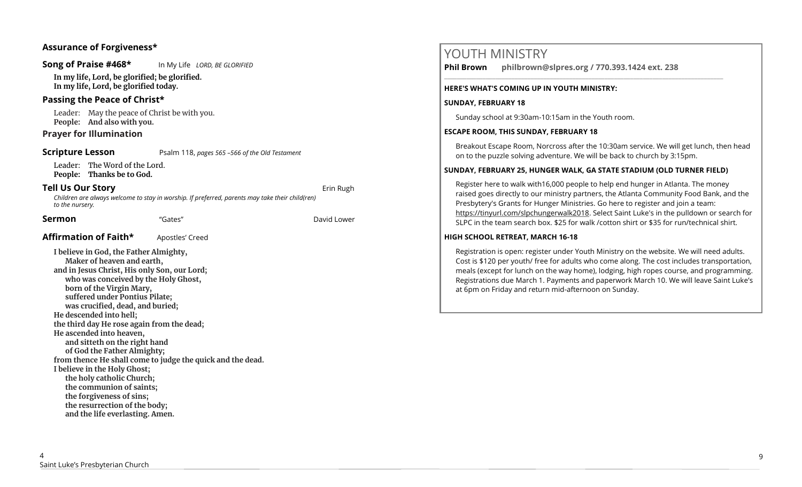# **Assurance of Forgiveness\***

#### **Song of Praise #468\*** In My Life *LORD, BE GLORIFIED*

**In my life, Lord, be glorified; be glorified. In my life, Lord, be glorified today.** 

## **Passing the Peace of Christ\***

Leader: May the peace of Christ be with you. **People: And also with you.** 

## **Prayer for Illumination**

**Scripture Lesson** Psalm 118, *pages 565 –566 of the Old Testament* 

Leader: The Word of the Lord. **People: Thanks be to God.**

#### **Tell Us Our Story and Story and Story and Story and Story and Story and Story and Story and Story and Story and Story and Story and Story and Story and Story and Story and Story and Story and Story and Story and Story and**

*Children are always welcome to stay in worship. If preferred, parents may take their child(ren) to the nursery.*

#### **Sermon Cates Contract Contract Contract Contract Contract Contract Contract Contract Contract Contract Contract Contract Contract Contract Contract Contract Contract Contract Contract Contract Contract Contract Contra**

## **Affirmation of Faith\*** Apostles' Creed

**I believe in God, the Father Almighty, Maker of heaven and earth, and in Jesus Christ, His only Son, our Lord; who was conceived by the Holy Ghost, born of the Virgin Mary, suffered under Pontius Pilate; was crucified, dead, and buried; He descended into hell; the third day He rose again from the dead; He ascended into heaven, and sitteth on the right hand of God the Father Almighty; from thence He shall come to judge the quick and the dead. I believe in the Holy Ghost; the holy catholic Church; the communion of saints; the forgiveness of sins; the resurrection of the body; and the life everlasting. Amen.**

# YOUTH MINISTRY **Phil Brown philbrown@slpres.org / 770.393.1424 ext. 238**  \_\_\_\_\_\_\_\_\_\_\_\_\_\_\_\_\_\_\_\_\_\_\_\_\_\_\_\_\_\_\_\_\_\_\_\_\_\_\_\_\_\_\_\_\_\_\_\_\_\_\_\_\_\_\_\_\_\_\_\_\_\_\_\_\_\_\_\_\_\_\_\_\_\_\_\_\_\_\_\_\_\_\_\_\_\_\_ **HERE'S WHAT'S COMING UP IN YOUTH MINISTRY: SUNDAY, FEBRUARY 18** Sunday school at 9:30am-10:15am in the Youth room. **ESCAPE ROOM, THIS SUNDAY, FEBRUARY 18** Breakout Escape Room, Norcross after the 10:30am service. We will get lunch, then head on to the puzzle solving adventure. We will be back to church by 3:15pm. **SUNDAY, FEBRUARY 25, HUNGER WALK, GA STATE STADIUM (OLD TURNER FIELD)** Register here to walk with16,000 people to help end hunger in Atlanta. The money raised goes directly to our ministry partners, the Atlanta Community Food Bank, and the Presbytery's Grants for Hunger Ministries. Go here to register and join a team: https://tinyurl.com/slpchungerwalk2018. Select Saint Luke's in the pulldown or search for SLPC in the team search box. \$25 for walk /cotton shirt or \$35 for run/technical shirt. **HIGH SCHOOL RETREAT, MARCH 16-18** Registration is open: register under Youth Ministry on the website. We will need adults. Cost is \$120 per youth/ free for adults who come along. The cost includes transportation, meals (except for lunch on the way home), lodging, high ropes course, and programming. Registrations due March 1. Payments and paperwork March 10. We will leave Saint Luke's

at 6pm on Friday and return mid-afternoon on Sunday.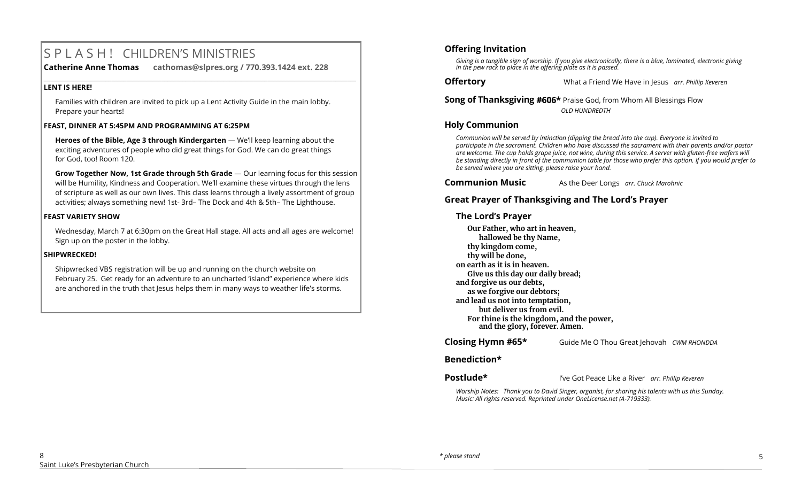# S P L A S H ! CHILDREN'S MINISTRIES

**Catherine Anne Thomas cathomas@slpres.org / 770.393.1424 ext. 228** 

#### **LENT IS HERE!**

Families with children are invited to pick up a Lent Activity Guide in the main lobby. Prepare your hearts!

**\_\_\_\_\_\_\_\_\_\_\_\_\_\_\_\_\_\_\_\_\_\_\_\_\_\_\_\_\_\_\_\_\_\_\_\_\_\_\_\_\_\_\_\_\_\_\_\_\_\_\_\_\_\_\_\_\_\_\_\_\_\_\_\_\_\_\_\_\_\_\_\_\_\_\_\_\_\_\_\_\_\_\_\_\_\_\_\_\_\_\_\_\_\_\_\_\_\_\_\_\_\_\_\_\_\_** 

#### **FEAST, DINNER AT 5:45PM AND PROGRAMMING AT 6:25PM**

**Heroes of the Bible, Age 3 through Kindergarten** — We'll keep learning about the exciting adventures of people who did great things for God. We can do great things for God, too! Room 120.

**Grow Together Now, 1st Grade through 5th Grade** — Our learning focus for this session will be Humility, Kindness and Cooperation. We'll examine these virtues through the lens of scripture as well as our own lives. This class learns through a lively assortment of group activities; always something new! 1st- 3rd– The Dock and 4th & 5th– The Lighthouse.

#### **FEAST VARIETY SHOW**

Wednesday, March 7 at 6:30pm on the Great Hall stage. All acts and all ages are welcome! Sign up on the poster in the lobby.

#### **SHIPWRECKED!**

Shipwrecked VBS registration will be up and running on the church website on February 25. Get ready for an adventure to an uncharted 'island" experience where kids are anchored in the truth that Jesus helps them in many ways to weather life's storms.

## **Offering Invitation**

*Giving is a tangible sign of worship. If you give electronically, there is a blue, laminated, electronic giving in the pew rack to place in the offering plate as it is passed.*

**Offertory** What a Friend We Have in Jesus *arr. Phillip Keveren*

**Song of Thanksgiving #606\*** Praise God, from Whom All Blessings Flow *OLD HUNDREDTH*

#### **Holy Communion**

*Communion will be served by intinction (dipping the bread into the cup). Everyone is invited to participate in the sacrament. Children who have discussed the sacrament with their parents and/or pastor are welcome. The cup holds grape juice, not wine, during this service. A server with gluten-free wafers will be standing directly in front of the communion table for those who prefer this option. If you would prefer to be served where you are sitting, please raise your hand.* 

**Communion Music** As the Deer Longs *arr. Chuck Marohnic* 

# **Great Prayer of Thanksgiving and The Lord's Prayer**

### **The Lord's Prayer**

**Our Father, who art in heaven, hallowed be thy Name, thy kingdom come, thy will be done, on earth as it is in heaven. Give us this day our daily bread; and forgive us our debts, as we forgive our debtors; and lead us not into temptation, but deliver us from evil. For thine is the kingdom, and the power, and the glory, forever. Amen.** 

**Closing Hymn #65\*** Guide Me O Thou Great Jehovah *CWM RHONDDA*

#### **Benediction\***

**Postlude\*** I've Got Peace Like a River *arr. Phillip Keveren*

*Worship Notes: Thank you to David Singer, organist, for sharing his talents with us this Sunday. Music: All rights reserved. Reprinted under OneLicense.net (A-719333).*